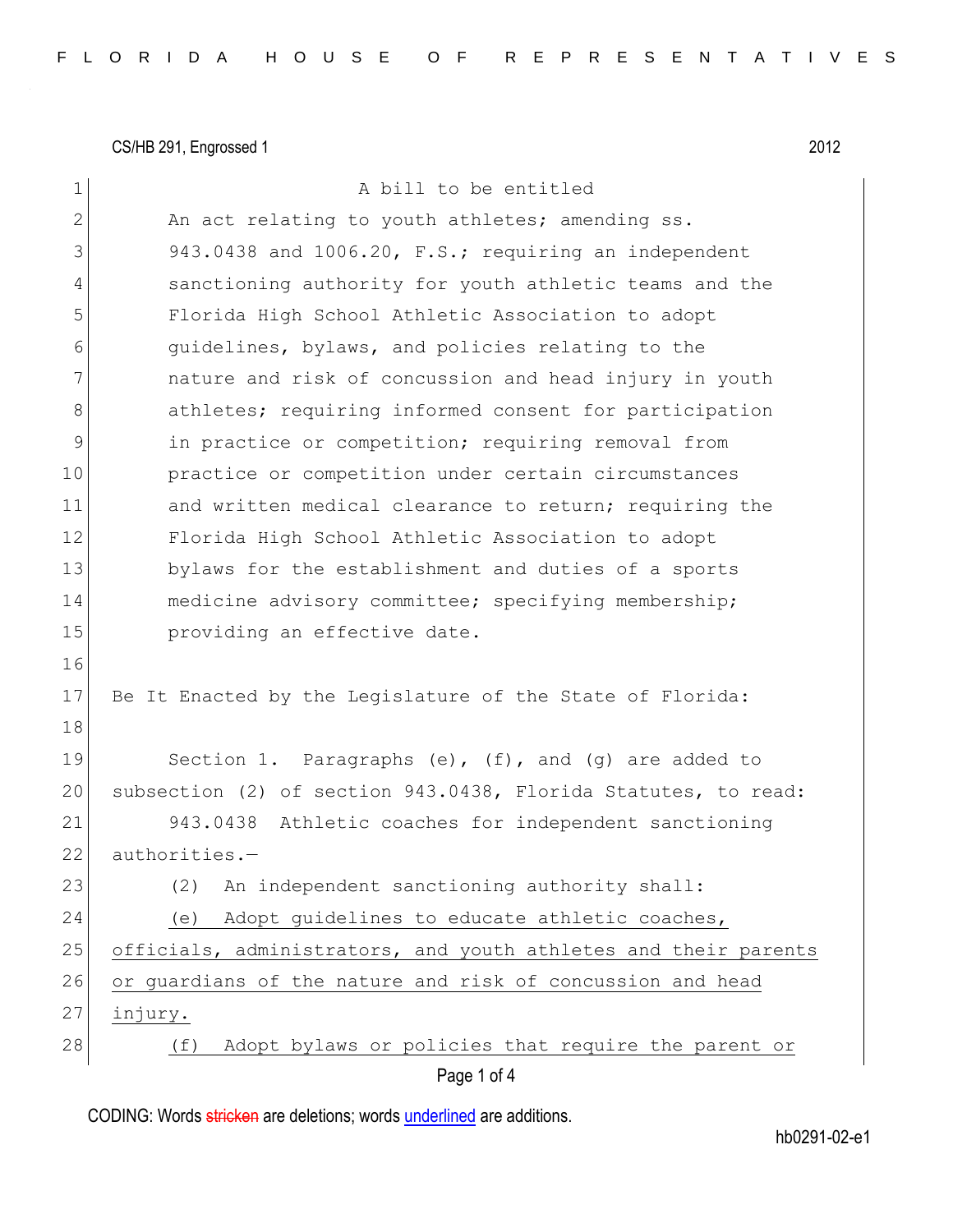CS/HB 291, Engrossed 1 2012

| 1            | A bill to be entitled                                           |
|--------------|-----------------------------------------------------------------|
| $\mathbf{2}$ | An act relating to youth athletes; amending ss.                 |
| 3            | 943.0438 and 1006.20, F.S.; requiring an independent            |
| 4            | sanctioning authority for youth athletic teams and the          |
| 5            | Florida High School Athletic Association to adopt               |
| 6            | quidelines, bylaws, and policies relating to the                |
| 7            | nature and risk of concussion and head injury in youth          |
| 8            | athletes; requiring informed consent for participation          |
| 9            | in practice or competition; requiring removal from              |
| 10           | practice or competition under certain circumstances             |
| 11           | and written medical clearance to return; requiring the          |
| 12           | Florida High School Athletic Association to adopt               |
| 13           | bylaws for the establishment and duties of a sports             |
| 14           | medicine advisory committee; specifying membership;             |
| 15           | providing an effective date.                                    |
| 16           |                                                                 |
| 17           | Be It Enacted by the Legislature of the State of Florida:       |
| 18           |                                                                 |
| 19           | Section 1. Paragraphs $(e)$ , $(f)$ , and $(g)$ are added to    |
| 20           | subsection (2) of section 943.0438, Florida Statutes, to read:  |
| 21           | 943.0438 Athletic coaches for independent sanctioning           |
| 22           | authorities.-                                                   |
| 23           | An independent sanctioning authority shall:<br>(2)              |
| 24           | Adopt guidelines to educate athletic coaches,<br>(e)            |
| 25           | officials, administrators, and youth athletes and their parents |
| 26           | or guardians of the nature and risk of concussion and head      |
| 27           | injury.                                                         |
| 28           | Adopt bylaws or policies that require the parent or<br>(f)      |
|              |                                                                 |

CODING: Words stricken are deletions; words underlined are additions.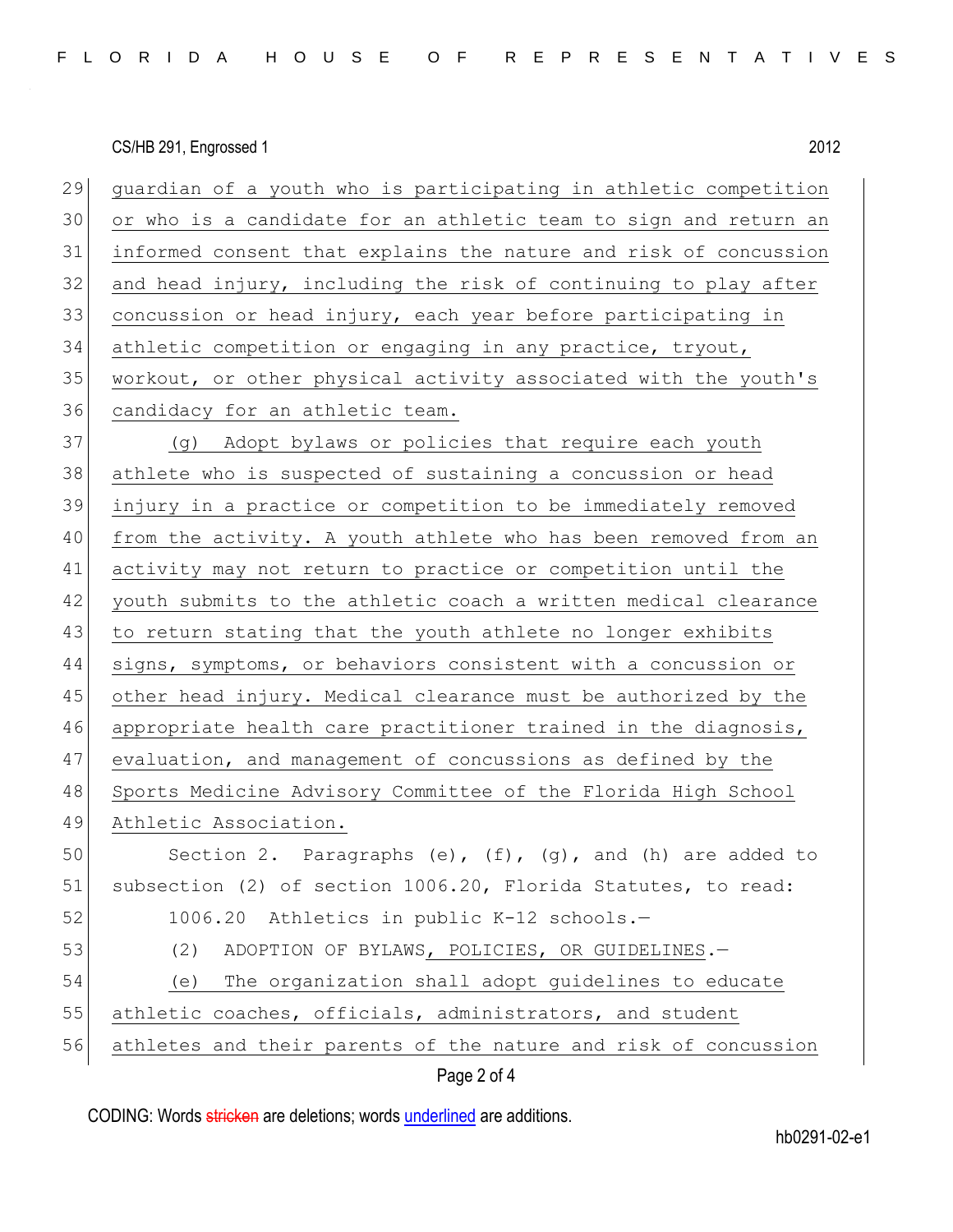CS/HB 291, Engrossed 1 2012

| 29 | guardian of a youth who is participating in athletic competition |  |  |  |  |  |
|----|------------------------------------------------------------------|--|--|--|--|--|
| 30 | or who is a candidate for an athletic team to sign and return an |  |  |  |  |  |
| 31 | informed consent that explains the nature and risk of concussion |  |  |  |  |  |
| 32 | and head injury, including the risk of continuing to play after  |  |  |  |  |  |
| 33 | concussion or head injury, each year before participating in     |  |  |  |  |  |
| 34 | athletic competition or engaging in any practice, tryout,        |  |  |  |  |  |
| 35 | workout, or other physical activity associated with the youth's  |  |  |  |  |  |
| 36 | candidacy for an athletic team.                                  |  |  |  |  |  |
| 37 | (g) Adopt bylaws or policies that require each youth             |  |  |  |  |  |
| 38 | athlete who is suspected of sustaining a concussion or head      |  |  |  |  |  |
| 39 | injury in a practice or competition to be immediately removed    |  |  |  |  |  |
| 40 | from the activity. A youth athlete who has been removed from an  |  |  |  |  |  |
| 41 | activity may not return to practice or competition until the     |  |  |  |  |  |
| 42 | youth submits to the athletic coach a written medical clearance  |  |  |  |  |  |
| 43 | to return stating that the youth athlete no longer exhibits      |  |  |  |  |  |
| 44 | signs, symptoms, or behaviors consistent with a concussion or    |  |  |  |  |  |
| 45 | other head injury. Medical clearance must be authorized by the   |  |  |  |  |  |
| 46 | appropriate health care practitioner trained in the diagnosis,   |  |  |  |  |  |
| 47 | evaluation, and management of concussions as defined by the      |  |  |  |  |  |
| 48 | Sports Medicine Advisory Committee of the Florida High School    |  |  |  |  |  |
| 49 | Athletic Association.                                            |  |  |  |  |  |
| 50 | Section 2. Paragraphs (e), (f), (g), and (h) are added to        |  |  |  |  |  |
| 51 | subsection (2) of section 1006.20, Florida Statutes, to read:    |  |  |  |  |  |
| 52 | 1006.20 Athletics in public K-12 schools.-                       |  |  |  |  |  |
| 53 | (2)<br>ADOPTION OF BYLAWS, POLICIES, OR GUIDELINES.-             |  |  |  |  |  |
| 54 | The organization shall adopt guidelines to educate<br>(e)        |  |  |  |  |  |
| 55 | athletic coaches, officials, administrators, and student         |  |  |  |  |  |
| 56 | athletes and their parents of the nature and risk of concussion  |  |  |  |  |  |
|    | Page 2 of 4                                                      |  |  |  |  |  |

CODING: Words stricken are deletions; words underlined are additions.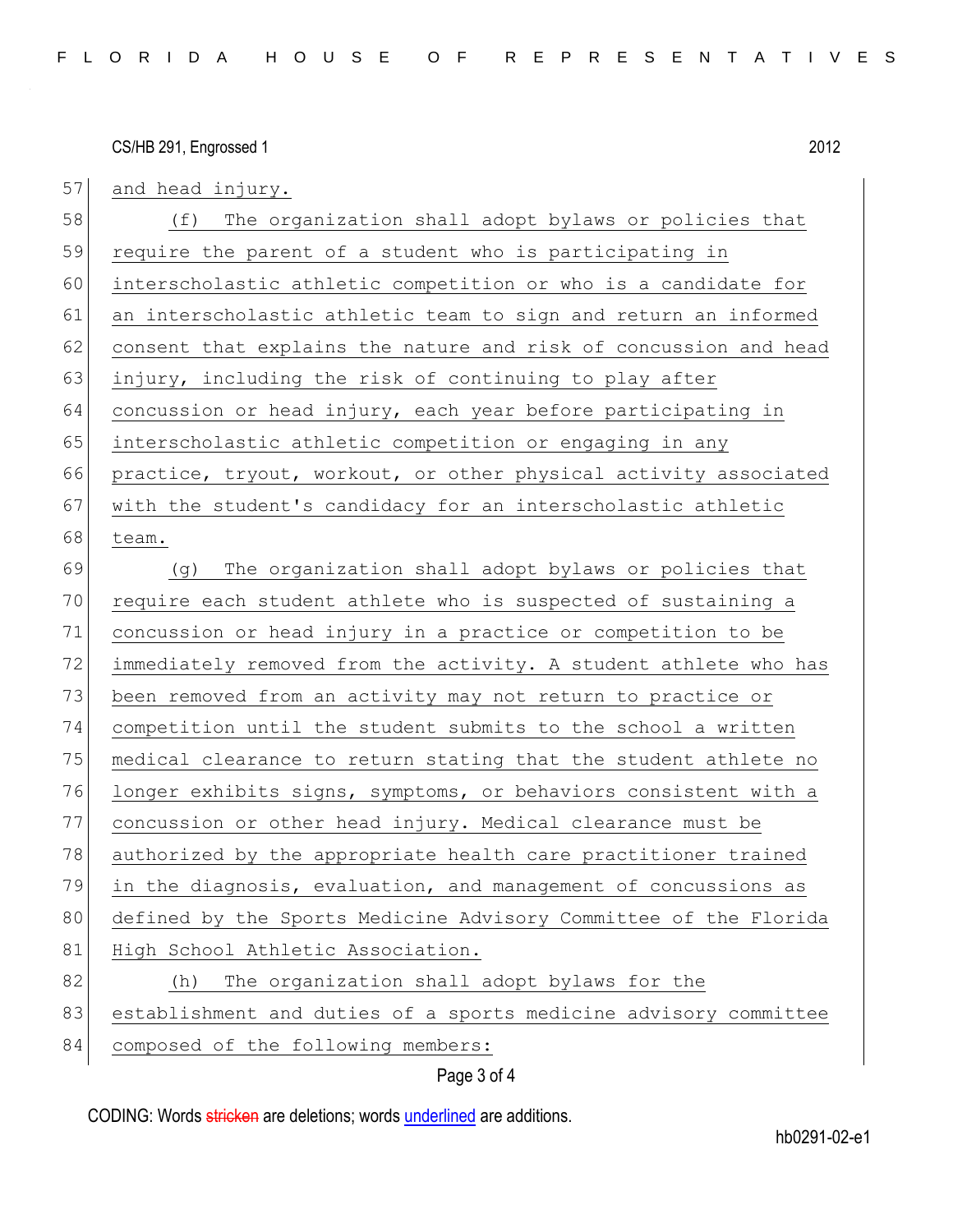CS/HB 291, Engrossed 1 2012

57 and head injury. 58 (f) The organization shall adopt bylaws or policies that 59 require the parent of a student who is participating in 60 interscholastic athletic competition or who is a candidate for 61 an interscholastic athletic team to sign and return an informed 62 consent that explains the nature and risk of concussion and head 63 injury, including the risk of continuing to play after  $64$  concussion or head injury, each year before participating in 65 interscholastic athletic competition or engaging in any 66 practice, tryout, workout, or other physical activity associated 67 with the student's candidacy for an interscholastic athletic 68 team. 69 (g) The organization shall adopt bylaws or policies that 70 require each student athlete who is suspected of sustaining a 71 concussion or head injury in a practice or competition to be 72 immediately removed from the activity. A student athlete who has 73 been removed from an activity may not return to practice or 74 competition until the student submits to the school a written 75 medical clearance to return stating that the student athlete no 76 longer exhibits signs, symptoms, or behaviors consistent with a 77 concussion or other head injury. Medical clearance must be 78 authorized by the appropriate health care practitioner trained 79 in the diagnosis, evaluation, and management of concussions as 80 defined by the Sports Medicine Advisory Committee of the Florida 81 High School Athletic Association. 82 (h) The organization shall adopt bylaws for the 83 establishment and duties of a sports medicine advisory committee 84 composed of the following members:

## Page 3 of 4

CODING: Words stricken are deletions; words underlined are additions.